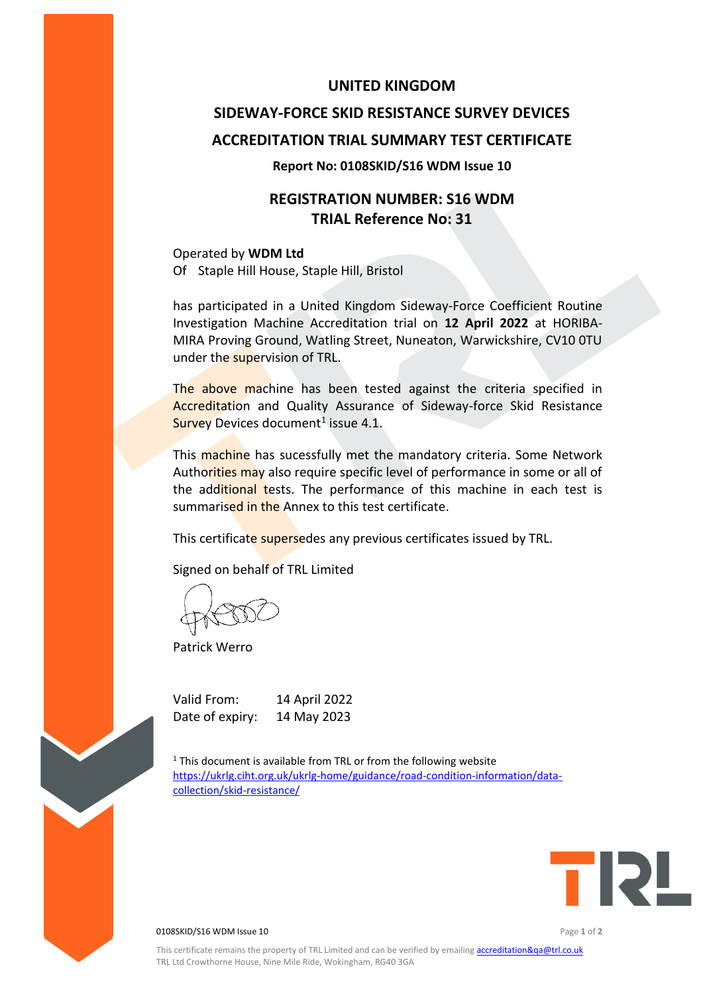### **UNITED KINGDOM**

# **SIDEWAY-FORCE SKID RESISTANCE SURVEY DEVICES ACCREDITATION TRIAL SUMMARY TEST CERTIFICATE**

#### **Report No: 0108SKID/S16 WDM Issue 10**

## **REGISTRATION NUMBER: S16 WDM TRIAL Reference No: 31**

Operated by **WDM Ltd** Of Staple Hill House, Staple Hill, Bristol

has participated in a United Kingdom Sideway-Force Coefficient Routine Investigation Machine Accreditation trial on **12 April 2022** at HORIBA-MIRA Proving Ground, Watling Street, Nuneaton, Warwickshire, CV10 0TU under the supervision of TRL.

The above machine has been tested against the criteria specified in Accreditation and Quality Assurance of Sideway-force Skid Resistance Survey Devices document<sup>1</sup> issue 4.1.

This machine has sucessfully met the mandatory criteria. Some Network Authorities may also require specific level of performance in some or all of the additional tests. The performance of this machine in each test is summarised in the Annex to this test certificate.

This certificate supersedes any previous certificates issued by TRL.

Signed on behalf of TRL Limited

Patrick Werro

Valid From: 14 April 2022 Date of expiry: 14 May 2023

 $1$ <sup>1</sup> This document is available from TRL or from the following website [https://ukrlg.ciht.org.uk/ukrlg-home/guidance/road-condition-information/data](https://ukrlg.ciht.org.uk/ukrlg-home/guidance/road-condition-information/data-collection/skid-resistance/)[collection/skid-resistance/](https://ukrlg.ciht.org.uk/ukrlg-home/guidance/road-condition-information/data-collection/skid-resistance/)



0108SKID/S16 WDM Issue 10 Page **1** of **2**